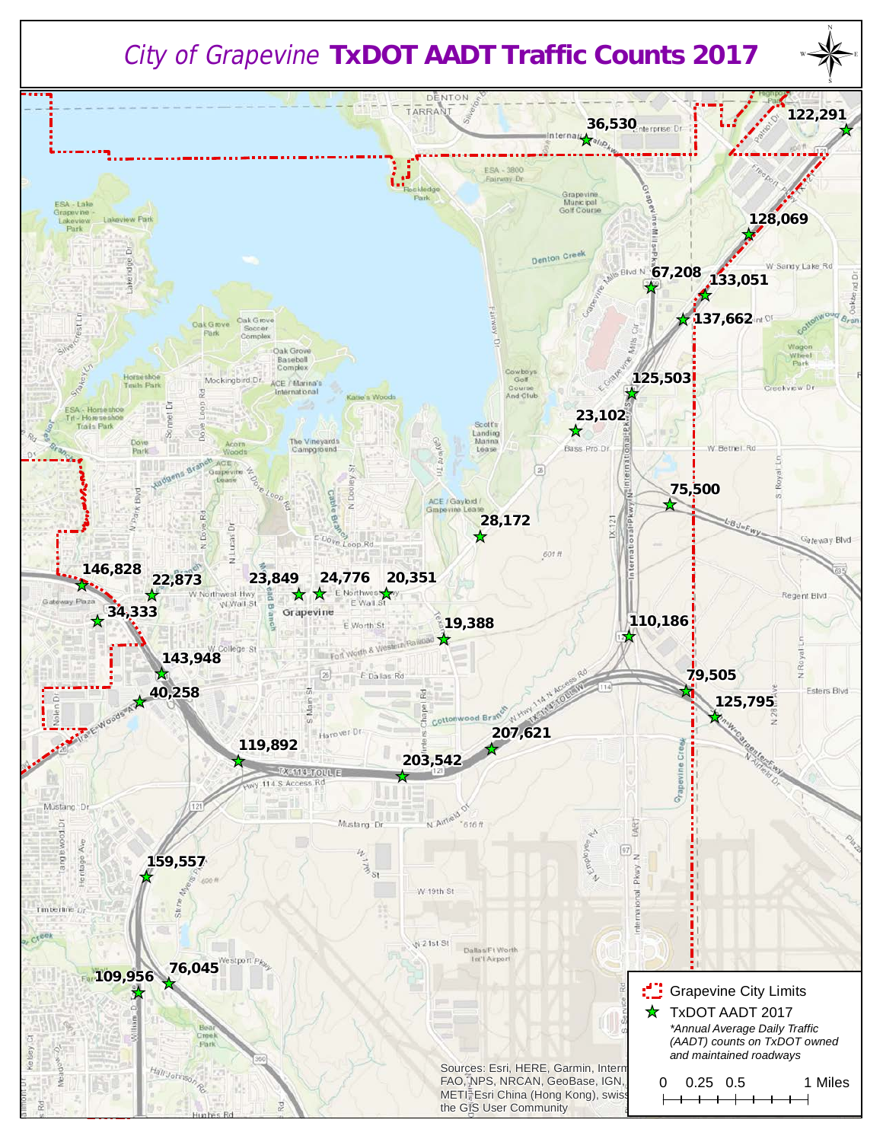## *City of Grapevine* **TxDOT AADT Traffic Counts 2017**

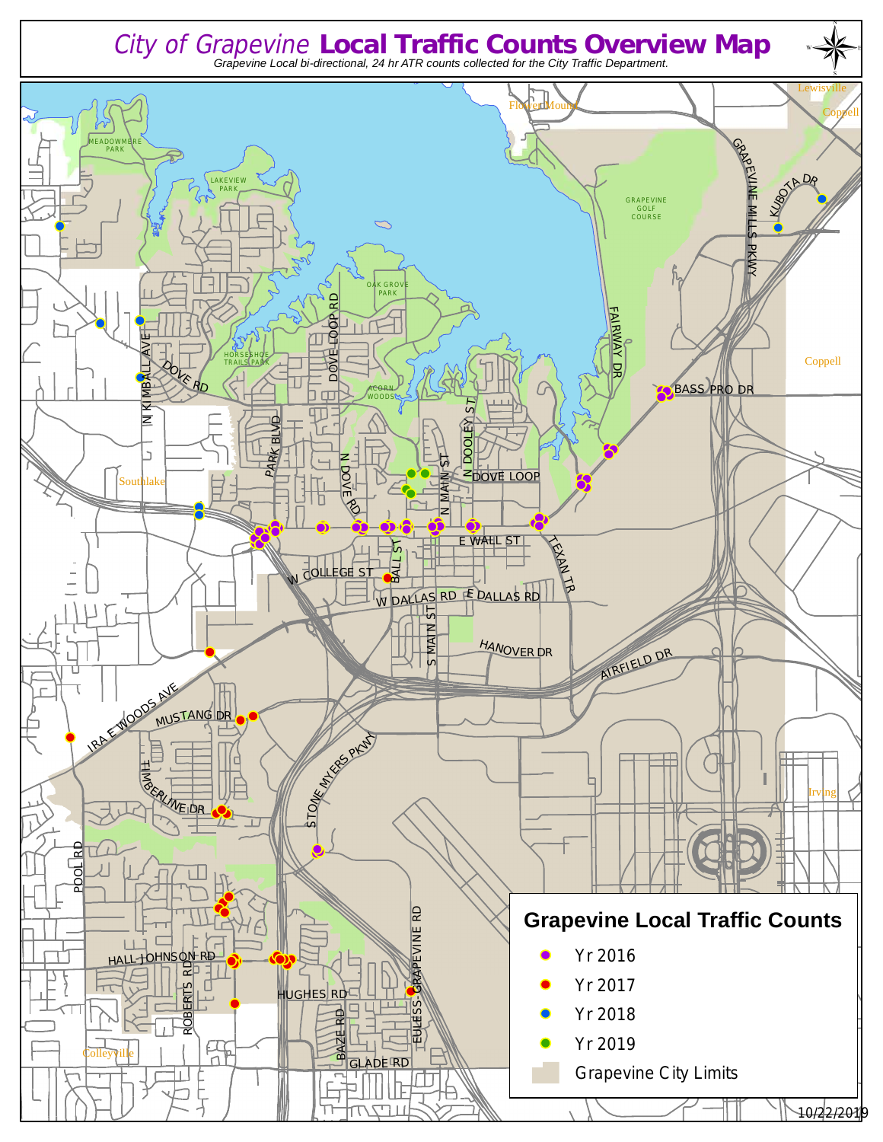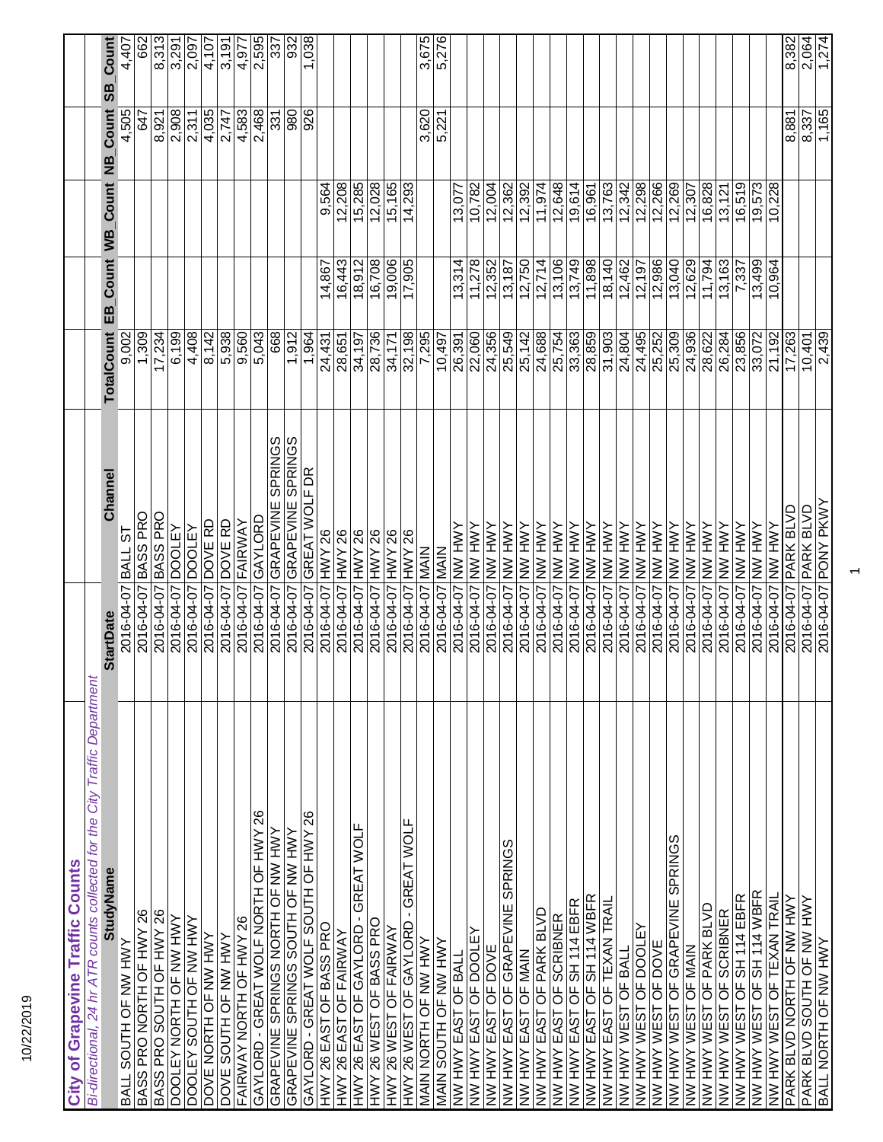| Bi-directional, 24 hr ATR counts collected for the City Traffic Department<br>StudyName<br>BASS PRO NORTH OF HWY 26<br>BALL SOUTH OF NW HWY |                                          |                       |        |                     |                       |                       |
|---------------------------------------------------------------------------------------------------------------------------------------------|------------------------------------------|-----------------------|--------|---------------------|-----------------------|-----------------------|
|                                                                                                                                             |                                          |                       |        |                     |                       |                       |
|                                                                                                                                             | Channel<br><b>StartDate</b>              | <b>TotalCount</b>     |        | EB_Count WB_Count   | Count<br>ЯM           | Count<br><u>ය</u>     |
|                                                                                                                                             | BALL ST<br>2016-04-07                    | 9,002                 |        |                     | 4,505                 | 4,407                 |
|                                                                                                                                             | 2016-04-07 BASS PRO                      | 1,309                 |        |                     | 647                   | 662                   |
| BASS PRO SOUTH OF HWY 26                                                                                                                    | BASS PRO<br>2016-04-07                   | $\sqrt{17,234}$       |        |                     | 8,921                 | 8,313                 |
| DOOLEY NORTH OF NW HWY                                                                                                                      | <b>DOOLEY</b><br>2016-04-07              | 6,199                 |        |                     |                       |                       |
| DOOLEY SOUTH OF NW HWY                                                                                                                      | <b>DOOLEY</b><br>2016-04-07              | 4,408                 |        |                     | $\frac{2,908}{2,311}$ | $\frac{3,291}{2,097}$ |
| DOVE NORTH OF NW HWY                                                                                                                        | DOVE RD<br>2016-04-07                    | 8,142                 |        |                     | 4,035                 |                       |
| AMH MN JO HLNOS 3/OO                                                                                                                        | DOVE RD<br>2016-04-07                    | 5,938                 |        |                     | 2,747                 | $\frac{1}{3,191}$     |
| FAIRWAY NORTH OF HWY 26                                                                                                                     | FAIRWAY<br>2016-04-07                    |                       |        |                     | 4,583                 | 4,977                 |
| $\frac{8}{3}$<br>GAYLORD - GREAT WOLF NORTH OF HWY                                                                                          | GAYLORD<br>2016-04-07                    | $\frac{9,560}{5,043}$ |        |                     | 2,468                 | 2,595                 |
| GRAPEVINE SPRINGS NORTH OF NW HWY                                                                                                           | <b>GRAPEVINE SPRINGS</b><br>2016-04-07   | 668                   |        |                     | 331                   | 337                   |
| GRAPEVINE SPRINGS SOUTH OF NW HWY                                                                                                           | GRAPEVINE SPRINGS<br>2016-04-07          | 1,912                 |        |                     | 980                   | 932                   |
| GAYLORD - GREAT WOLF SOUTH OF HWY 26                                                                                                        | GREAT WOLF DR<br>2016-04-07              | 1,964                 |        |                     | 926                   | 1,038                 |
| HWY 26 EAST OF BASS PRO                                                                                                                     | 2016-04-07 HWY 26                        | 24,431                | 14,867 | 9,564               |                       |                       |
| HWY 26 EAST OF FAIRWAY                                                                                                                      | 2016-04-07 HWY 26                        | 28,651                | 16,443 | 12,208              |                       |                       |
| HWY 26 EAST OF GAYLORD - GREAT WOLF                                                                                                         | 2016-04-07 HWY 26                        | 34,197                | 18,912 | 15,285              |                       |                       |
| HWY 26 WEST OF BASS PRO                                                                                                                     | <b>HWY 26</b><br>2016-04-07              | 28,736                | 16,708 | 12,028              |                       |                       |
| HWY 26 WEST OF FAIRWAY                                                                                                                      | HWY 26<br>2016-04-07                     | 34,171                | 19,006 | 15,165              |                       |                       |
| HWY 26 WEST OF GAYLORD - GREAT WOLF                                                                                                         | HWY 26<br>2016-04-07                     | 32,198                | 7,905  | 14,293              |                       |                       |
| MAIN NORTH OF NW HWY                                                                                                                        | <b>MAIN</b><br>2016-04-07                | 7,295                 |        |                     | 3,620                 | 3,675                 |
| MAIN SOUTH OF NW HWY                                                                                                                        | 2016-04-07 MAIN                          | 10,497                |        |                     | 5,221                 | 5,276                 |
| NW HWY EAST OF BALL                                                                                                                         | 2016-04-07 NW HWY                        | 26,391                | 13,314 | 13,077              |                       |                       |
| NW HWY EAST OF DOOLEY                                                                                                                       | YNH NNL 10-40-9102                       | 22,060                | 11,278 | 10,782              |                       |                       |
| NW HWY EAST OF DOVE                                                                                                                         | <b>NNH NNY</b><br>2016-04-07             | 24,356                | 12,352 | 12,004              |                       |                       |
| NW HWY EAST OF GRAPEVINE SPRINGS                                                                                                            | YNH NY<br>2016-04-07                     | 25,549                | 13,187 | 12,362              |                       |                       |
| NW HWY EAST OF MAIN                                                                                                                         | YNH NY<br>2016-04-07                     | 25,142                | 12,750 | $\overline{12,392}$ |                       |                       |
| NW HWY EAST OF PARK BLVD                                                                                                                    | Y<br>NH<br>NH<br>N<br>2016-04-07         | 24,688                | 12,714 | 11,974              |                       |                       |
| NW HWY EAST OF SCRIBNER                                                                                                                     | <b>AMH MN</b><br>2016-04-07              | 25,754                | 13,106 | 12,648              |                       |                       |
| NW HWY EAST OF SH 114 EBFR                                                                                                                  | <b>AMH MN</b><br>2016-04-07              |                       | 13,749 | 19,614              |                       |                       |
| NW HWY EAST OF SH 114 WBFR                                                                                                                  | <b>NNH WN</b><br>2016-04-07              | 28,859                | 11,898 | 16,961              |                       |                       |
| NW HWY EAST OF TEXAN TRAIL                                                                                                                  | YNH NNL 10-40-9102                       | 31,903                | 18,140 | 13,763              |                       |                       |
| NW HWY WEST OF BALL                                                                                                                         | NNA NNY<br>2016-04-07                    | 24,804                | 12,462 | 12,342              |                       |                       |
| NW HWY WEST OF DOOLEY                                                                                                                       | Y<br>NN HVY<br>2016-04-07                | 24,495                | 12,197 | 12,298              |                       |                       |
| NW HWY WEST OF DOVE                                                                                                                         | amh mn<br>2016-04-07                     | 25,252                | 12,986 | 12,266              |                       |                       |
| NW HWY WEST OF GRAPEVINE SPRINGS                                                                                                            | <b>NW HWY</b><br>2016-04-07              | 25,309                | 13,040 | 12,269              |                       |                       |
| NW HWY WEST OF MAIN                                                                                                                         | Y<br>N<br>N<br>N<br>N<br>N<br>2016-04-07 | 24,936                | 12,629 | 12,307              |                       |                       |
| <b>UW HWY WEST OF PARK BLVD</b>                                                                                                             | <b>NNH WN</b><br>2016-04-07              | 28,622                | 11,794 | 16,828              |                       |                       |
| NW HWY WEST OF SCRIBNER                                                                                                                     | YNH NNY<br>2016-04-07                    | 26,284                | 3,163  | 13,121              |                       |                       |
| NW HWY WEST OF SH 114 EBFR                                                                                                                  | Y<br>Y<br>Y<br>Y<br>Y<br>Y<br>2016-04-07 | 23,856                | 7,337  | 16,519              |                       |                       |
| NW HWY WEST OF SH 114 WBFR                                                                                                                  | Y<br>N<br>N<br>N<br>N<br>N<br>2016-04-07 | 33,072                | 13,499 | 19,573              |                       |                       |
| NW HWY WEST OF TEXAN TRAIL                                                                                                                  | NN HWY<br>2016-04-07                     | 21,192                | 10,964 | 10,228              |                       |                       |
| PARK BLVD NORTH OF NW HWY                                                                                                                   | <b>PARK BLVD</b><br>2016-04-07           | 17,263                |        |                     | 8,881                 | 8,382                 |
| PARK BLVD SOUTH OF NW HWY                                                                                                                   | <b>PARK BLVD</b><br>2016-04-07           | 10,401                |        |                     | 8,337                 | $\frac{2,064}{1,274}$ |
| BALL NORTH OF NW HWY                                                                                                                        | <b>AMYA ANO d 20-10-9102</b>             | 2,439                 |        |                     | 1,165                 |                       |

10/22/2019

 $\overline{\phantom{0}}$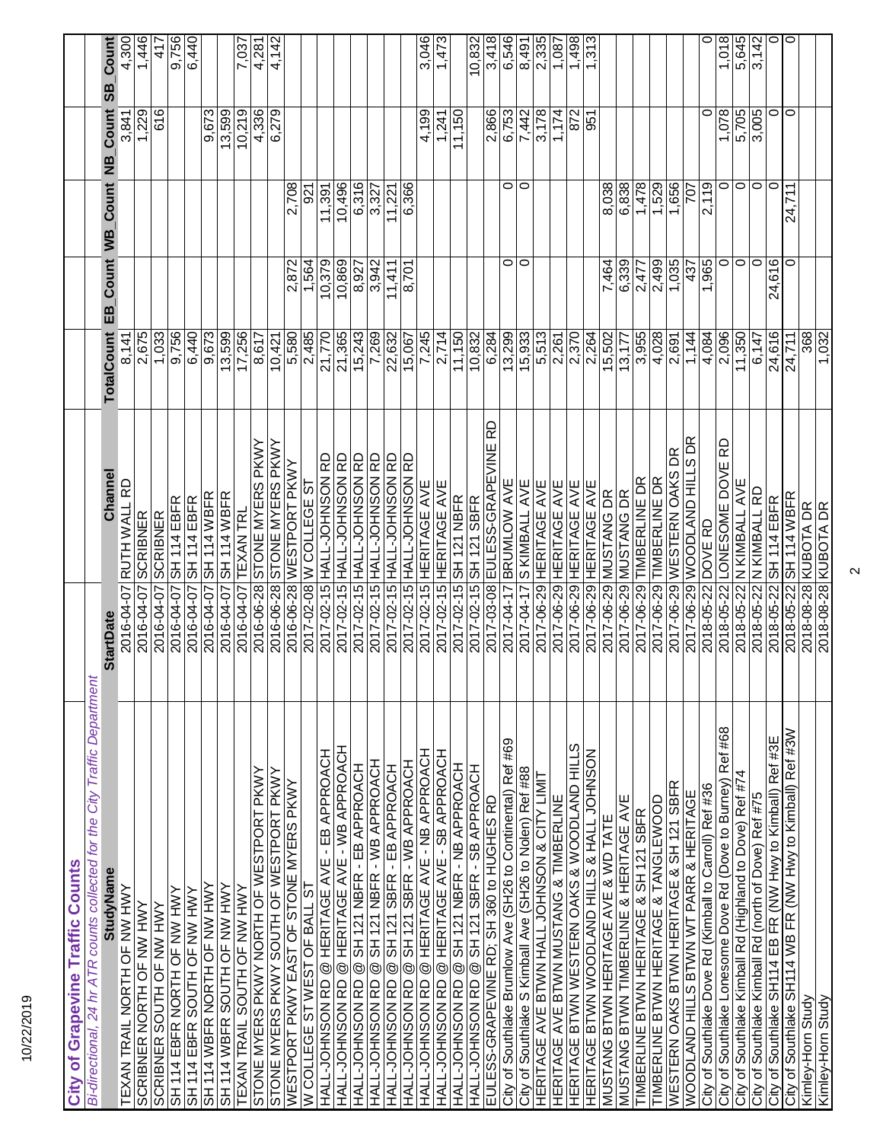| 10/22/2019                                                                            |                                              |                   |                   |                    |                               |                     |
|---------------------------------------------------------------------------------------|----------------------------------------------|-------------------|-------------------|--------------------|-------------------------------|---------------------|
| City of Grapevine Traffic Counts                                                      |                                              |                   |                   |                    |                               |                     |
| Bi-directional, 24 hr ATR counts collected for the City Traffic Department            |                                              |                   |                   |                    |                               |                     |
| <b>StudyName</b>                                                                      | Channel<br><b>StartDate</b>                  | <b>TotalCount</b> | _Count<br>ЕB      | <b>Count</b><br>ğМ | 99<br>Count<br>$\overline{a}$ | Count               |
| TEXAN TRAIL NORTH OF NW HWY                                                           | RUTH WALL RD<br>2016-04-07                   | 8,141             |                   |                    | 3,841                         | 4,300               |
| SCRIBNER NORTH OF NW HWY                                                              | <b>SCRIBNER</b><br>2016-04-07                | 2,675             |                   |                    | 1,229                         | 1,446               |
| SCRIBNER SOUTH OF NW HWY                                                              | <b>SCRIBNER</b><br>2016-04-07                | 1,033             |                   |                    | 616                           | 417                 |
| SH 114 EBFR NORTH OF NW HWY                                                           | SH 114 EBFR<br>2016-04-07                    | 9,756             |                   |                    |                               | 9,756               |
| SH 114 EBFR SOUTH OF NW HWY                                                           | SH 114 EBFR<br>2016-04-07                    | 6,440             |                   |                    |                               | 6,440               |
| SH 114 WBFR NORTH OF NW HWY                                                           | SH 114 WBFR<br>2016-04-07                    | 9,673             |                   |                    | 9,673                         |                     |
| SH 114 WBFR SOUTH OF NW HWY                                                           | SH 114 WBFR<br>2016-04-07                    | 13,599            |                   |                    | 13,599                        |                     |
| TEXAN TRAIL SOUTH OF NW HWY                                                           | <b>TEXAN TRL</b><br>2016-04-07               | 17,256            |                   |                    | 10,219                        | 7,037               |
| STONE MYERS PKWY NORTH OF WESTPORT PKWY                                               | STONE MYERS PKWY<br>2016-06-28               | 8,617             |                   |                    | 4,336                         | 4,281               |
| STONE MYERS PKWY SOUTH OF WESTPORT PKWY                                               | S016-06-28 STONE MYERS PKWY                  | 10,421            |                   |                    | 6,279                         | 4,142               |
| WESTPORT PKWY EAST OF STONE MYERS PKWY                                                | 2016-06-28 WESTPORT PKWY                     | 089'9             | 2,872             | 2,708              |                               |                     |
| W COLLEGE ST WEST OF BALL ST                                                          | 2017-02-08 W COLLEGE ST                      | 2,485             | 1,564             | 921                |                               |                     |
| HALL-JOHNSON RD @ HERITAGE AVE - EB APPROACH                                          | 2017-02-15 HALL-JOHNSON RD                   | 21,770            | 10,379            | 11,391             |                               |                     |
| HALL-JOHNSON RD @ HERITAGE AVE - WB APPROACH                                          | <b>QH NOSNHO<sup>r-</sup>TIVH 91-70-4107</b> | 21,365            | 10,869            | 10,496             |                               |                     |
| HALL-JOHNSON RD @ SH 121 NBFR - EB APPROACH                                           | 2017-02-15 HALL-JOHNSON RD                   | 15,243            | $\frac{8,927}{8}$ | 6,316              |                               |                     |
| HALL-JOHNSON RD @ SH 121 NBFR - WB APPROACH                                           | 2017-02-15 HALL-JOHNSON RD                   | 7,269             | 3,942             | 3,327              |                               |                     |
| SH 121 SBFR - EB APPROACH<br>HALL-JOHNSON RD @                                        | <b>QH NOSNHO<sup>r-</sup>TIVH 91-70-4107</b> | 22,632            | 11,411            | 11,221             |                               |                     |
| SH 121 SBFR - WB APPROACH<br>HALL-JOHNSON RD @                                        | 2017-02-15 HALL-JOHNSON RD                   | 15,067            | $\frac{8,701}{ }$ | 6,366              |                               |                     |
| HALL-JOHNSON RD @ HERITAGE AVE - NB APPROACH                                          | 2017-02-15 HERITAGE AVE                      | 7,245             |                   |                    | 4,199                         | 3,046               |
| HALL-JOHNSON RD @ HERITAGE AVE - SB APPROACH                                          | 2017-02-15 HERITAGE AVE                      | 2,714             |                   |                    | 1,241                         | 1,473               |
| HALL-JOHNSON RD @ SH 121 NBFR - NB APPROACH                                           | SH 121 NBFR<br>2017-02-15                    | 11,150            |                   |                    | 1,150                         |                     |
| HOVOHNSON RD @ SH 121 SBFR - SB APPROACH                                              | SH 121 SBFR<br>$2017 - 02 - 15$              | 10,832            |                   |                    |                               | 10,832              |
| EULESS-GRAPEVINE RD; SH 360 to HUGHES RD                                              | 2017-03-08 EULESS-GRAPEVINE RD               | 6,284             |                   |                    | 2,866                         | 3,418               |
| City of Southlake Brumlow Ave (SH26 to Continental) Ref #69                           | <b>5017-04-17 BRUMLOW AVE</b>                | 13,299            | 0                 | 0                  | 6,753                         | 6,546               |
| City of Southlake S Kimball Ave (SH26 to Nolen) Ref #88                               | <b>S KIMBALL AVE</b><br>2017-04-17           | 15,933            | $\circ$           | $\circ$            | 7,442                         | 8,491               |
| HERITAGE AVE BTWN HALL JOHNSON & CITY LIMIT<br>HERITAGE AVE BTWN MUSTANG & TIMBERLINE | 2017-06-29 HERITAGE AVE                      | 5,513<br>2,261    |                   |                    | 3,178                         | 2,335               |
|                                                                                       | 2017-06-29 HERITAGE AVE                      |                   |                   |                    | 1,174                         | 1.087               |
| HERITAGE BTWN WESTERN OAKS & WOODLAND HILLS                                           | 2017-06-29 HERITAGE AVE                      | 2,370             |                   |                    | 872                           | 1,498               |
| HERITAGE BTWN WOODLAND HILLS & HALL JOHNSON                                           | 2017-06-29 HERITAGE AVE                      | 2,264             |                   |                    | 951                           | 1,313               |
| MUSTANG BTWN HERITAGE AVE & WD TATE                                                   | 2017-06-29 MUSTANG DR                        | 15,502            | 7,464             | 8,038              |                               |                     |
| MUSTANG BTWN TIMBERLINE & HERITAGE AVE                                                | 2017-06-29 MUSTANG DR                        | 13,177            | 6,339             | 6,838              |                               |                     |
| TIMBERLINE BTWN HERITAGE & SH 121 SBFR                                                | 2017-06-29 TIMBERLINE DR                     | 3,955             | 2,477             | 1,478              |                               |                     |
| TIMBERLINE BTWN HERITAGE & TANGLEWOOD                                                 | 2017-06-29 TIMBERLINE DR                     | 4,028             | 2,499             | $\overline{1,529}$ |                               |                     |
| WESTERN OAKS BTWN HERITAGE & SH 121 SBFR                                              | BR<br>2017-06-29 WESTERN OAKS                | 2,691             | 1,035             | 1,656              |                               |                     |
| WOODLAND HILLS BTWN WT PARR & HERITAGE                                                | 2017-06-29 WOODLAND HILLS DR                 | 1,144             | 437               | 707                |                               |                     |
| City of Southlake Dove Rd (Kimball to Carroll) Ref #36                                | 2018-05-22 DOVE RD                           | 4,084             | 1,965             | 119<br>$\sim$      | 0                             | っ                   |
| City of Southlake Lonesome Dove Rd (Dove to Burney) Ref #68                           | RD<br>2018-05-22 LONESOME DOVE               | 2,096             | 0                 | $\circ$            | 1,078                         | 1,018               |
| City of Southlake Kimball Rd (Highland to Dove) Ref #74                               | 2018-05-22 N KIMBALL AVE                     | 11,350            | $\circ$           | $\circ$            | 5,705                         | $rac{5,645}{3,142}$ |
| City of Southlake Kimball Rd (north of Dove) Ref #75                                  | 2018-05-22 N KIMBALL RD                      | 6,147             | $\circ$           | $\circ$            |                               |                     |
| City of Southlake SH114 EB FR (NW Hwy to Kimball) Ref #3E                             | SH 114 EBFR<br>2018-05-22                    | 24,616            | 24,616            | 0                  | $\circ$                       | 0                   |
| City of Southlake SH114 WB FR (NW Hwy to Kimball) Ref #3W                             | 2018-05-22 SH 114 WBFR                       | 24,711            | 0                 | 24,711             | $\circ$                       | 0                   |
| Kimley-Horn Study                                                                     | 2018-08-28 KUBOTA DR                         | 368               |                   |                    |                               |                     |
| Kimley-Horn Study                                                                     | 2018-08-28 KUBOTA DR                         | 1,032             |                   |                    |                               |                     |